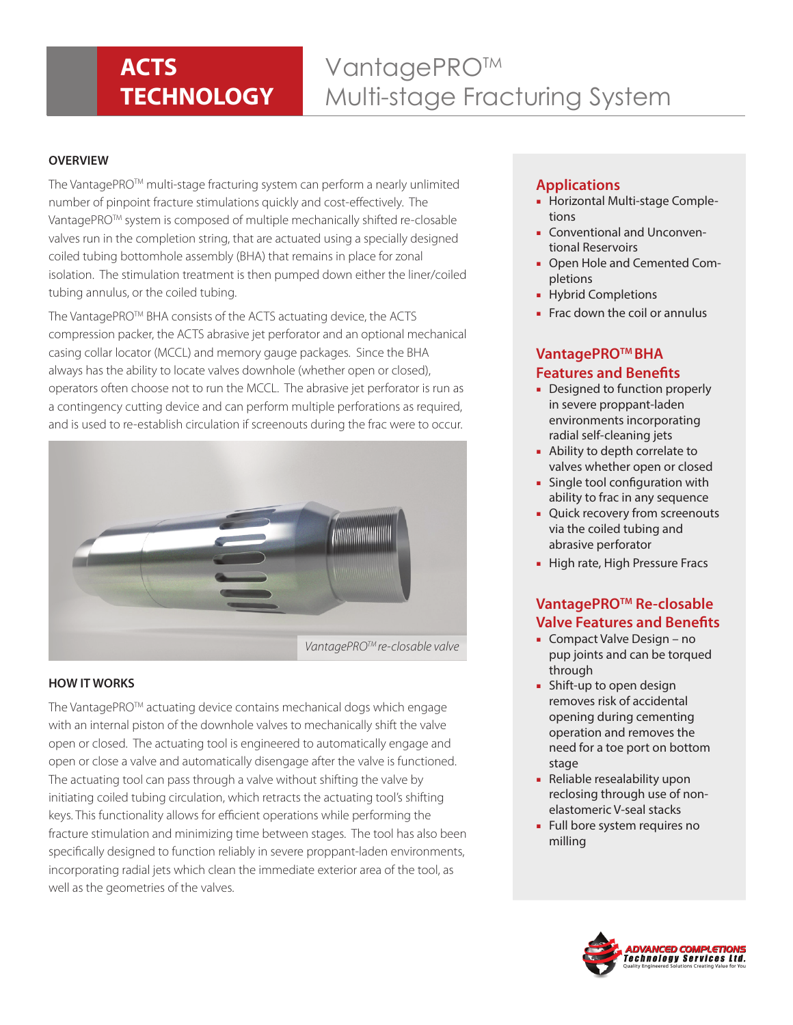# **ACTS TECHNOLOGY**

# VantagePRO™ Multi-stage Fracturing System

#### **OVERVIEW**

The VantagePRO™ multi-stage fracturing system can perform a nearly unlimited number of pinpoint fracture stimulations quickly and cost-effectively. The VantagePROTM system is composed of multiple mechanically shifted re-closable valves run in the completion string, that are actuated using a specially designed coiled tubing bottomhole assembly (BHA) that remains in place for zonal isolation. The stimulation treatment is then pumped down either the liner/coiled tubing annulus, or the coiled tubing.

The VantagePRO™ BHA consists of the ACTS actuating device, the ACTS compression packer, the ACTS abrasive jet perforator and an optional mechanical casing collar locator (MCCL) and memory gauge packages. Since the BHA always has the ability to locate valves downhole (whether open or closed), operators often choose not to run the MCCL. The abrasive jet perforator is run as a contingency cutting device and can perform multiple perforations as required, and is used to re-establish circulation if screenouts during the frac were to occur.



#### **HOW IT WORKS**

The VantagePRO™ actuating device contains mechanical dogs which engage with an internal piston of the downhole valves to mechanically shift the valve open or closed. The actuating tool is engineered to automatically engage and open or close a valve and automatically disengage after the valve is functioned. The actuating tool can pass through a valve without shifting the valve by initiating coiled tubing circulation, which retracts the actuating tool's shifting keys. This functionality allows for efficient operations while performing the fracture stimulation and minimizing time between stages. The tool has also been specifically designed to function reliably in severe proppant-laden environments, incorporating radial jets which clean the immediate exterior area of the tool, as well as the geometries of the valves.

## **Applications**

- Horizontal Multi-stage Completions
- Conventional and Unconventional Reservoirs
- Open Hole and Cemented Completions
- Hybrid Completions
- Frac down the coil or annulus

### **VantagePROTM BHA Features and Benefits**

- Designed to function properly in severe proppant-laden environments incorporating radial self-cleaning jets
- Ability to depth correlate to valves whether open or closed
- Single tool configuration with ability to frac in any sequence
- Quick recovery from screenouts via the coiled tubing and abrasive perforator
- High rate, High Pressure Fracs

## **VantagePROTM Re-closable Valve Features and Benefits**

- Compact Valve Design no pup joints and can be torqued through
- Shift-up to open design removes risk of accidental opening during cementing operation and removes the need for a toe port on bottom stage
- Reliable resealability upon reclosing through use of nonelastomeric V-seal stacks
- Full bore system requires no milling